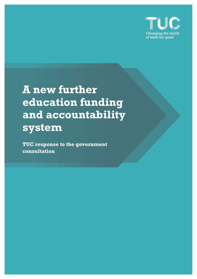

**A new further education funding and accountability system**

**TUC response to the government consultation**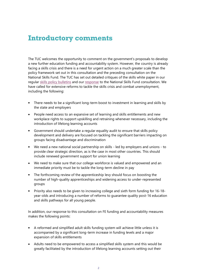## **Introductory comments**

The TUC welcomes the opportunity to comment on the government's proposals to develop a new further education funding and accountability system. However, the country is already facing a skills crisis and there is a need for urgent action on a much greater scale than the policy framework set out in this consultation and the preceding consultation on the National Skills Fund. The TUC has set out detailed critiques of the skills white paper in our regular [skills policy bulletins](https://www.unionlearn.org.uk/policy-briefings) and our [response](https://www.tuc.org.uk/research-analysis/reports/national-skills-fund) to the National Skills Fund consultation. We have called for extensive reforms to tackle the skills crisis and combat unemployment, including the following:

- There needs to be a significant long-term boost to investment in learning and skills by the state and employers
- People need access to an expansive set of learning and skills entitlements and new workplace rights to support upskilling and retraining whenever necessary, including the introduction of lifelong learning accounts
- Government should undertake a regular equality audit to ensure that skills policy development and delivery are focused on tackling the significant barriers impacting on groups facing disadvantage and discrimination
- We need a new national social partnership on skills led by employers and unions to provide clear strategic direction, as is the case in most other countries. This should include renewed government support for union learning
- We need to make sure that our college workforce is valued and empowered and an immediate priority must be to tackle the long-term decline in pay
- The forthcoming review of the apprenticeship levy should focus on boosting the number of high-quality apprenticeships and widening access to under-represented groups
- Priority also needs to be given to increasing college and sixth form funding for 16-18 year-olds and introducing a number of reforms to guarantee quality post-16 education and skills pathways for all young people.

In addition, our response to this consultation on FE funding and accountability measures makes the following points:

- A reformed and simplified adult skills funding system will achieve little unless it is accompanied by a significant long-term increase in funding levels and a major expansion of skills entitlements
- Adults need to be empowered to access a simplified skills system and this would be greatly facilitated by the introduction of lifelong learning accounts setting out their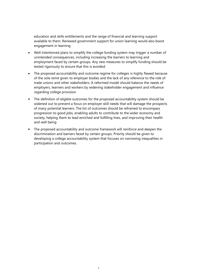education and skills entitlements and the range of financial and learning support available to them. Renewed government support for union learning would also boost engagement in learning

- Well intentioned plans to simplify the college funding system may trigger a number of unintended consequences, including increasing the barriers to learning and employment faced by certain groups. Any new measures to simplify funding should be tested rigorously to ensure that this is avoided
- The proposed accountability and outcome regime for colleges is highly flawed because of the sole remit given to employer bodies and the lack of any reference to the role of trade unions and other stakeholders. A reformed model should balance the needs of employers, learners and workers by widening stakeholder engagement and influence regarding college provision
- The definition of eligible outcomes for the proposed accountability system should be widened out to prevent a focus on employer skill needs that will damage the prospects of many potential learners. The list of outcomes should be reframed to encompass progression to good jobs, enabling adults to contribute to the wider economy and society, helping them to lead enriched and fulfilling lives, and improving their health and well being
- The proposed accountability and outcome framework will reinforce and deepen the discrimination and barriers faced by certain groups. Priority should be given to developing a college accountability system that focuses on narrowing inequalities in participation and outcomes.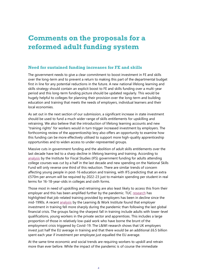# **Comments on the proposals for a reformed adult funding system**

### **Need for sustained funding increases for FE and skills**

The government needs to give a clear commitment to boost investment in FE and skills over the long-term and to prevent a return to making this part of the departmental budget first in line for any potential reductions in the future. A new national lifelong learning and skills strategy should contain an explicit boost to FE and skills funding over a multi-year period and this long-term funding picture should be updated regularly. This would be hugely helpful to colleges for planning their provision over the long-term and building education and training that meets the needs of employers, individual learners and their local economies.

As set out in the next section of our submission, a significant increase in state investment should be used to fund a much wider range of skills entitlements for upskilling and retraining. We also believe that the introduction of lifelong learning accounts and new "training rights" for workers would in turn trigger increased investment by employers. The forthcoming review of the apprenticeship levy also offers an opportunity to examine how this funding can be more effectively utilised to support more high-quality apprenticeship opportunities and to widen access to under-represented groups.

Massive cuts in government funding and the abolition of adult skills entitlements over the last decade have led to a sharp decline in lifelong learning and training. According to [analysis](https://ifs.org.uk/publications/15404) by the Institute for Fiscal Studies (IFS) government funding for adults attending college courses was cut by a half in the last decade and new spending on the National Skills Fund will only reverse one third of this reduction. There are similar trends of concern affecting young people in post-16 education and training, with IFS predicting that an extra £570m per annum will be required by 2022-23 just to maintain spending per student in real terms for 16-18-year-olds in colleges and sixth forms.

Those most in need of upskilling and retraining are also least likely to access this from their employer and this has been amplified further by the pandemic. TUC [research](https://www.unionlearn.org.uk/sites/default/files/publication/Training%20trends%20in%20Britain.pdf) has highlighted that job-related training provided by employers has been in decline since the mid-1990s. A recent [analysis](https://learningandwork.org.uk/resources/research-and-reports/learning-at-work-employer-investment-in-skills/) by the Learning & Work Institute found that employer investment in training fell more sharply during the pandemic than following the last global financial crisis. The groups facing the sharpest fall in training include adults with lower-level qualifications, young workers in the private sector and apprentices. This includes a large proportion of those in relatively low-paid work who have borne the brunt of the employment crisis triggered by Covid-19. The L&WI research shows that UK employers invest just half the EU average in training and that there would be an additional £6.5 billion spent each year if investment per employee just equalled the EU average.

At the same time economic and social trends are requiring workers to upskill and retrain more than ever before. While the impact of the pandemic is of course the immediate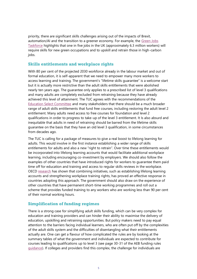priority, there are significant skills challenges arising out of the impacts of Brexit, automation/AI and the transition to a greener economy. For example, the [Green Jobs](https://www.gov.uk/government/publications/green-jobs-taskforce-report)  [Taskforce](https://www.gov.uk/government/publications/green-jobs-taskforce-report) highlights that one in five jobs in the UK (approximately 6.3 million workers) will require skills for new green occupations and to upskill and retrain those in high-carbon jobs.

### **Skills entitlements and workplace rights**

With 80 per cent of the projected 2030 workforce already in the labour market and out of formal education, it is self-apparent that we need to empower many more workers to access learning and training. The government's "lifetime skills guarantee" is a welcome start but it is actually more restrictive than the adult skills entitlements that were abolished nearly ten years ago. The guarantee only applies to a prescribed list of level 3 qualifications and many adults are completely excluded from retraining because they have already achieved this level of attainment. The TUC agrees with the recommendations of the [Education Select Committee](https://committees.parliament.uk/publications/4090/documents/40532/default/) and many stakeholders that there should be a much broader range of adult skills entitlements that fund free courses, including restoring the adult level 2 entitlement. Many adults need access to free courses for foundation and level 2 qualifications in order to progress to take-up of the level 3 entitlement. It Is also absurd and inequitable that adults in need of retraining should be barred from the lifetime skills guarantee on the basis that they have an old level 3 qualification, in some circumstances from decades ago.

The TUC is calling for a package of measures to give a real boost to lifelong learning for adults. This would involve in the first instance establishing a wider range of skills entitlements for adults and also a new "right to retrain". Over time these entitlements would be incorporated into lifelong learning accounts that would facilitate additional workplace learning, including encouraging co-investment by employers. We should also follow the examples of other countries that have introduced rights for workers to guarantee them paid time off for education and training and access to regular skills reviews in the workplace. OECD [research](https://www.oecd.org/els/emp/individual-learning-accounts.pdf) has shown that combining initiatives, such as establishing lifelong learning accounts and strengthening workplace training rights, has proved an effective response in countries adopting this approach. The government should also draw on the experience of other countries that have permanent short-time working programmes and roll out a scheme that provides funded training to any workers who are working less than 90 per cent of their normal working hours.

#### **Simplification of funding regimes**

There is a strong case for simplifying adult skills funding, which can be very complex for education and training providers and can hinder their ability to maximise the delivery of education, upskilling and retraining opportunities. But policy makers need to pay equal attention to the barriers facing individual learners, who are often put off by the complexities of the adult skills system and the difficulties of disentangling what their entitlements actually are. One can get a flavour of how complicated the rules are by looking at the summary tables of what the government and individuals are expected to contribute for courses leading to qualifications up to level 3 (see page 30-31 of the AEB funding rules [guidance\)](https://www.gov.uk/guidance/adult-education-budget-aeb-funding-rules-2021-to-2022). If colleges and providers find this complex, the challenge for individuals are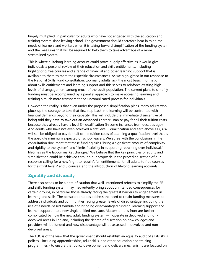hugely multiplied, in particular for adults who have not engaged with the education and training system since leaving school. The government should therefore bear in mind the needs of learners and workers when it is taking forward simplification of the funding system and the measures that will be required to help them to take advantage of a more streamlined system.

This is where a lifelong learning account could prove hugely effective as it would give individuals a personal review of their education and skills entitlements, including highlighting free courses and a range of financial and other learning support that is available to them to meet their specific circumstances. As we highlighted in our response to the National Skills Fund consultation, too many adults lack the most basic information about skills entitlements and learning support and this serves to reinforce existing high levels of disengagement among much of the adult population. The current plans to simplify funding must be accompanied by a parallel approach to make accessing learning and training a much more transparent and uncomplicated process for individuals.

However, the reality is that even under the proposed simplification plans, many adults who pluck up the courage to take that first step back into learning will be confronted with financial demands beyond their capacity. This will include the immediate disincentive of being told they have to take out an Advanced Learner Loan or pay for all their tuition costs because they already have a level 3+ qualification (in some instances from decades ago). And adults who have not even achieved a first level 2 qualification and earn above £17,374 will still be obliged to pay for half of the tuition costs of attaining a qualification level that is the absolute minimum expected of school leavers. We agree with the conclusions in the consultation document that these funding rules "bring a significant amount of complexity and rigidity to the system" and "limits flexibility in supporting retraining over individuals' lifetimes as the labour market changes." We believe that the key principles of equity and simplification could be achieved through our proposals in the preceding section of our response calling for a new "right to retrain", full entitlements for all adults to free courses for their first level 2 and 3 courses, and the introduction of lifelong learning accounts.

### **Equality and diversity**

There also needs to be a note of caution that well-intentioned reforms to simplify the FE and skills funding system may inadvertently bring about unintended consequences for certain groups, in particular those already facing the greatest barriers to engagement in learning and skills. The consultation does address the need to retain funding measures to address individuals and communities facing greater levels of disadvantage, including the use of a needs-based formula and bringing disadvantaged funding, learning support and learner support into a new single unified measure. Matters on this front are further complicated by how the new adult funding system will operate in devolved and nondevolved areas in England, including the degree of discretion on how colleges and providers will be funded and how disadvantage will be assessed in devolved and nondevolved areas.

The TUC is of the view that the government should establish an equality audit of all its skills polices - including apprenticeships, adult skills, and other education and training programmes - to ensure that policy development and delivery mechanisms are focused on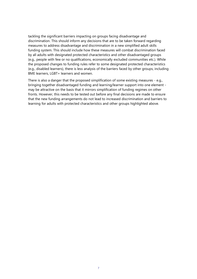tackling the significant barriers impacting on groups facing disadvantage and discrimination. This should inform any decisions that are to be taken forward regarding measures to address disadvantage and discrimination in a new simplified adult skills funding system. This should include how these measures will combat discrimination faced by all adults with designated protected characteristics and other disadvantaged groups (e.g., people with few or no qualifications, economically excluded communities etc.). While the proposed changes to funding rules refer to some designated protected characteristics (e.g., disabled learners), there is less analysis of the barriers faced by other groups, including BME learners, LGBT+ learners and women.

There is also a danger that the proposed simplification of some existing measures - e.g., bringing together disadvantaged funding and learning/learner support into one element may be attractive on the basis that it mirrors simplification of funding regimes on other fronts. However, this needs to be tested out before any final decisions are made to ensure that the new funding arrangements do not lead to increased discrimination and barriers to learning for adults with protected characteristics and other groups highlighted above.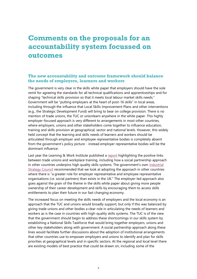## **Comments on the proposals for an accountability system focussed on outcomes**

#### **The new accountability and outcome framework should balance the needs of employers, learners and workers**

The government is very clear in the skills white paper that employers should have the sole remit for agreeing the standards for all technical qualifications and apprenticeships and for shaping "technical skills provision so that it meets local labour market skills needs." Government will be "putting employers at the heart of post-16 skills" in local areas, including through the influence that Local Skills Improvement Plans and other interventions (e.g., the Strategic Development Fund) will bring to bear on college provision. There is no mention of trade unions, the TUC or unionlearn anywhere in the white paper. This highly employer-focused approach is very different to arrangements in most other countries, where employers, unions and other stakeholders come together to influence education, training and skills provision at geographical, sector and national levels. However, this widely held concept that the learning and skills needs of learners and workers should be articulated through employer and employee representative bodies is completely absent from the government's policy picture - instead employer representative bodies will be the dominant influence.

Last year the Learning & Work Institute published a [report](https://learningandwork.org.uk/resources/research-and-reports/levelling-up-skills-after-coronavirus-the-role-of-trade-unions-and-social-partnership-in-workforce-training/) highlighting the positive links between trade unions and workplace training, including how a social partnership approach in other countries underpins high quality skills systems. The government's own Industrial [Strategy Council](https://industrialstrategycouncil.org/rising-uks-skills-challenges) recommended that we look at adopting the approach in other countries where there is "a greater role for employer representative and employee representative organisations (i.e. social partners) than exists in the UK." The employer-led approach also goes against the grain of the theme in the skills white paper about giving more people ownership of their career development and skills by encouraging them to access skills entitlements to plan their future in our fast changing economy.

The increased focus on meeting the skills needs of employers and the local economy is an approach that the TUC and unions would broadly support, but only if this was balanced by giving trade unions and other bodies a clear role in articulating the needs of learners and workers as is the case in countries with high-quality skills systems. The TUC is of the view that the government should begin to address these shortcomings in our skills system by establishing a National Skills Taskforce that would bring together employers, unions and other key stakeholders along with government. A social partnership approach along these lines would facilitate further discussions about the adoption of institutional arrangements that other countries use to empower employers and unions to identify and plan for skills priorities at geographical levels and in specific sectors. At the regional and local level there are existing models of best practice that could be drawn on, including some of the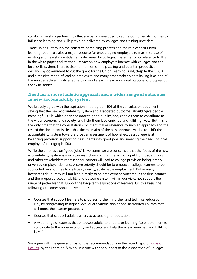collaborative skills partnerships that are being developed by some Combined Authorities to influence learning and skills provision delivered by colleges and training providers.

Trade unions - through the collective bargaining process and the role of their union learning reps - are also a major resource for encouraging employers to maximise use of existing and new skills entitlements delivered by colleges. There is also no reference to this in the white paper and its wider impact on how employers interact with colleges and the local skills system. There is also no mention of the puzzling and counter-productive decision by government to cut the grant for the Union Learning Fund, despite the OECD and a massive range of leading employers and many other stakeholders hailing it as one of the most effective initiatives at helping workers with few or no qualifications to progress up the skills ladder.

### **Need for a more holistic approach and a wider range of outcomes in new accountability system**

We broadly agree with the aspiration in paragraph 104 of the consultation document saying that the new accountability system and associated outcomes should "give people meaningful skills which open the door to good quality jobs, enable them to contribute to the wider economy and society, and help them lead enriched and fulfilling lives." But this is the only time that the consultation document makes reference to such an approach and the rest of the document is clear that the main aim of the new approach will be to "shift the accountability system toward a broader assessment of how effective a college is at balancing provision, supporting its students into good jobs and meeting the needs of local employers" (paragraph 106).

While the emphasis on "good jobs" is welcome, we are concerned that the focus of the new accountability system is much too restrictive and that the lack of input from trade unions and other stakeholders representing learners will lead to college provision being largely driven by employer demand. A core priority should be to empower college learners to be supported on a journey to well-paid, quality, sustainable employment. But in many instances this journey will not lead directly to an employment outcome in the first instance and the proposed accountability and outcome system will, in our view, not support the range of pathways that support the long-term aspirations of learners. On this basis, the following outcomes should have equal standing:

- Courses that support learners to progress further in further and technical education, e.g., by progressing to higher-level qualifications and/or non-accredited courses that will boost their career prospects
- Courses that support adult learners to access higher education
- A wide range of courses that empower adults to undertake learning "to enable them to contribute to the wider economy and society and help them lead enriched and fulfilling lives."

We agree with the general thrust of the recommendations in the recent report, Focus on [Results,](https://learningandwork.org.uk/resources/research-and-reports/focus-on-results/) by the Learning & Work Institute with the support of the Association of Colleges.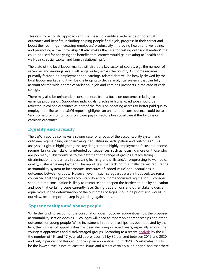This calls for a holistic approach and the "need to identify a wide range of potential outcomes and benefits, including: helping people find a job, progress in their career and boost their earnings, increasing employers' productivity, improving health and wellbeing, and promoting active citizenship." It also makes the case for testing out "social metrics" that could be used for analysing the benefits that learners would gain relating to "health and well-being, social capital and family relationships".

The state of the local labour market will also be a key factor of course, e.g., the number of vacancies and earnings levels will range widely across the country. Outcome regimes primarily focused on employment and earnings-related data will be heavily skewed by the local labour market and it will be challenging to devise analytical systems that can fully account for the wide degree of variation in job and earnings prospects in the case of each college.

There may also be unintended consequences from a focus on outcomes relating to earnings progression. Supporting individuals to achieve higher-paid jobs should be reflected in college outcomes as part of the focus on boosting access to better paid quality employment. But as the L&WI report highlights, an unintended consequence could be to "end some provision of focus on lower paying sectors like social care if the focus is on earnings outcomes."

## **Equality and diversity**

The L&WI report also makes a strong case for a focus of the accountability system and outcome regime being on "narrowing inequalities in participation and outcomes." This analysis is right in highlighting the key danger that a highly employment-focused outcome regime "brings the risks of unintended consequences, such as focusing more on those who are job ready." This would be to the detriment of a range of groups already facing discrimination and barriers in accessing learning and skills and/or progressing to well-paid, quality, sustainable employment. The report says that tackling this challenge will require the accountability system to incorporate "measures of 'added value' and inequalities in outcomes between groups." However, even if such safeguards were introduced, we remain concerned that the proposed accountability and outcome focussed regime for FE colleges set out in the consultation is likely to reinforce and deepen the barriers to quality education and jobs that certain groups currently face. Giving trade unions and other stakeholders an equal voice in the determination of the outcomes colleges should be prioritising would, in our view, be an important step in guarding against this.

### **Apprenticeships and young people**

While the funding section of the consultation does not cover apprenticeships, the proposed accountability section does as FE colleges will need to report on apprenticeships and other outcomes for young people. While investment in apprenticeships has been boosted by the levy, the number of opportunities has been declining in recent years, especially among the youngest apprentices and disadvantaged groups. According to a recent [analysis](https://ifs.org.uk/publications/15578) by the IFS the number of 16- and 17-year-old apprentices fell by 30 per cent between 2019 and 2020 and only 3 per cent of this group took up an apprenticeship in 2020. IFS estimates this to be the lowest level "since at least the 1980s and almost certainly a lot longer" and that there